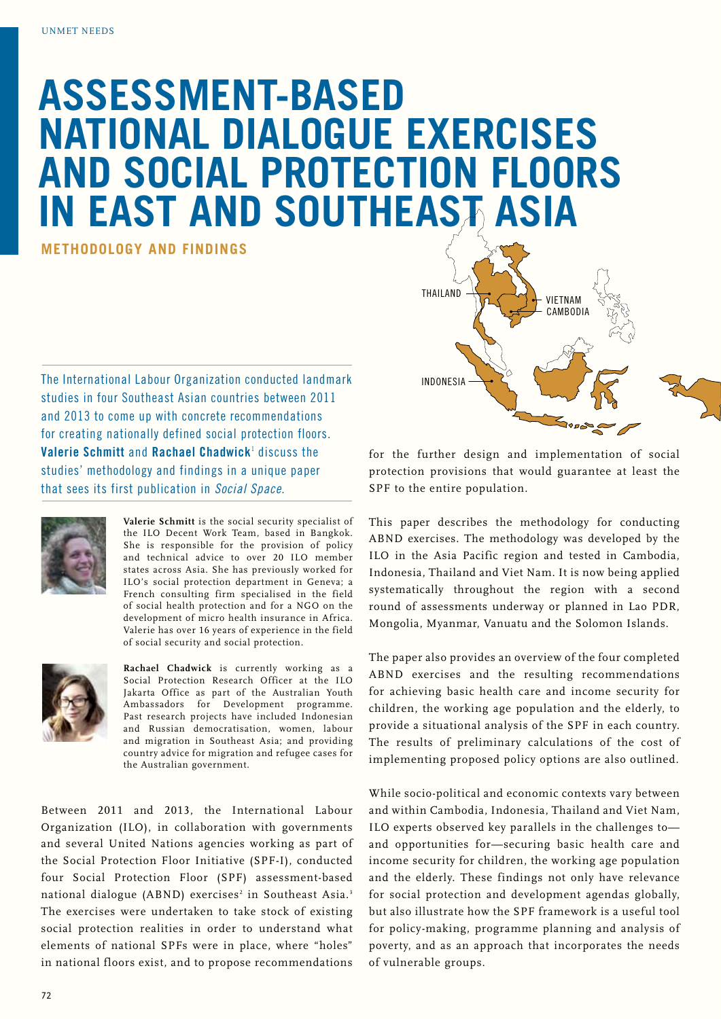## **Assessment-Based National Dialogue Exercises and Social Protection Floors in East and Southeast Asia**

**methodology and findings**

The International Labour Organization conducted landmark studies in four Southeast Asian countries between 2011 and 2013 to come up with concrete recommendations for creating nationally defined social protection floors. **Valerie Schmitt** and **Rachael Chadwick**<sup>1</sup> discuss the studies' methodology and findings in a unique paper that sees its first publication in *Social Space*.



**Valerie Schmitt** is the social security specialist of the ILO Decent Work Team, based in Bangkok. She is responsible for the provision of policy and technical advice to over 20 ILO member states across Asia. She has previously worked for ILO's social protection department in Geneva; a French consulting firm specialised in the field of social health protection and for a NGO on the development of micro health insurance in Africa. Valerie has over 16 years of experience in the field of social security and social protection.



**Rachael Chadwick** is currently working as a Social Protection Research Officer at the ILO Jakarta Office as part of the Australian Youth Ambassadors for Development programme. Past research projects have included Indonesian and Russian democratisation, women, labour and migration in Southeast Asia; and providing country advice for migration and refugee cases for the Australian government.

Between 2011 and 2013, the International Labour Organization (ILO), in collaboration with governments and several United Nations agencies working as part of the Social Protection Floor Initiative (SPF-I), conducted four Social Protection Floor (SPF) assessment-based national dialogue (ABND) exercises<sup>2</sup> in Southeast Asia.<sup>3</sup> The exercises were undertaken to take stock of existing social protection realities in order to understand what elements of national SPFs were in place, where "holes" in national floors exist, and to propose recommendations



vietnam **CAMBODIA** 

for the further design and implementation of social protection provisions that would guarantee at least the SPF to the entire population.

thailand

This paper describes the methodology for conducting ABND exercises. The methodology was developed by the ILO in the Asia Pacific region and tested in Cambodia, Indonesia, Thailand and Viet Nam. It is now being applied systematically throughout the region with a second round of assessments underway or planned in Lao PDR, Mongolia, Myanmar, Vanuatu and the Solomon Islands.

The paper also provides an overview of the four completed ABND exercises and the resulting recommendations for achieving basic health care and income security for children, the working age population and the elderly, to provide a situational analysis of the SPF in each country. The results of preliminary calculations of the cost of implementing proposed policy options are also outlined.

While socio-political and economic contexts vary between and within Cambodia, Indonesia, Thailand and Viet Nam, ILO experts observed key parallels in the challenges to and opportunities for—securing basic health care and income security for children, the working age population and the elderly. These findings not only have relevance for social protection and development agendas globally, but also illustrate how the SPF framework is a useful tool for policy-making, programme planning and analysis of poverty, and as an approach that incorporates the needs of vulnerable groups.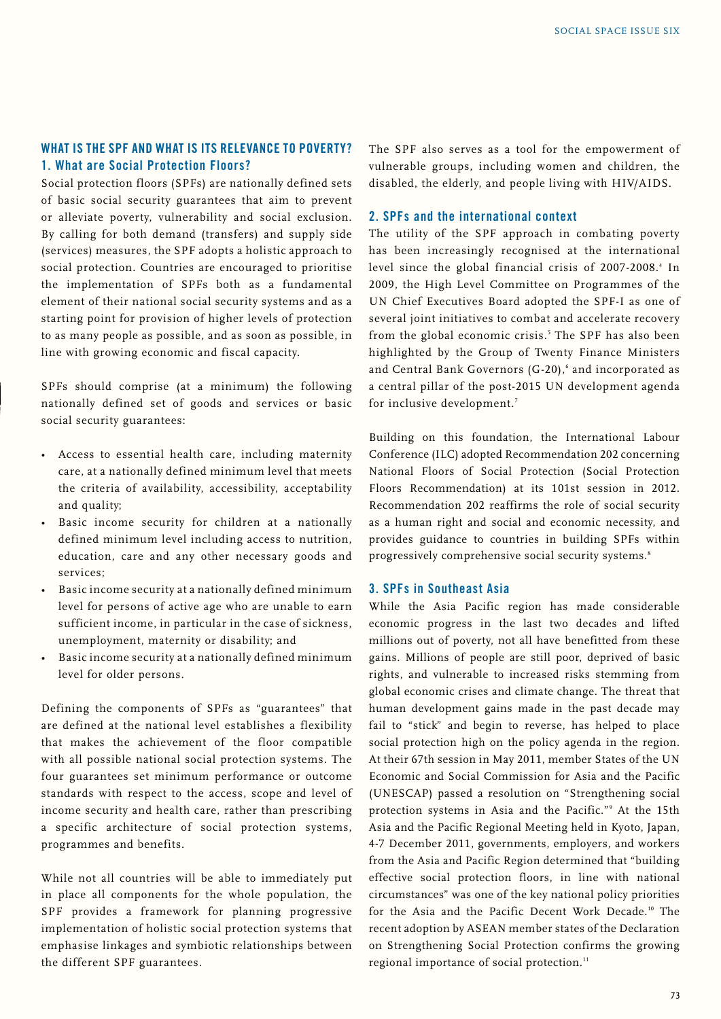#### **What is the SPF and what is its relevance to poverty? 1. What are Social Protection Floors?**

Social protection floors (SPFs) are nationally defined sets of basic social security guarantees that aim to prevent or alleviate poverty, vulnerability and social exclusion. By calling for both demand (transfers) and supply side (services) measures, the SPF adopts a holistic approach to social protection. Countries are encouraged to prioritise the implementation of SPFs both as a fundamental element of their national social security systems and as a starting point for provision of higher levels of protection to as many people as possible, and as soon as possible, in line with growing economic and fiscal capacity.

SPFs should comprise (at a minimum) the following nationally defined set of goods and services or basic social security guarantees:

- Access to essential health care, including maternity care, at a nationally defined minimum level that meets the criteria of availability, accessibility, acceptability and quality;
- Basic income security for children at a nationally defined minimum level including access to nutrition, education, care and any other necessary goods and services;
- Basic income security at a nationally defined minimum level for persons of active age who are unable to earn sufficient income, in particular in the case of sickness, unemployment, maternity or disability; and
- Basic income security at a nationally defined minimum level for older persons.

Defining the components of SPFs as "guarantees" that are defined at the national level establishes a flexibility that makes the achievement of the floor compatible with all possible national social protection systems. The four guarantees set minimum performance or outcome standards with respect to the access, scope and level of income security and health care, rather than prescribing a specific architecture of social protection systems, programmes and benefits.

While not all countries will be able to immediately put in place all components for the whole population, the SPF provides a framework for planning progressive implementation of holistic social protection systems that emphasise linkages and symbiotic relationships between the different SPF guarantees.

The SPF also serves as a tool for the empowerment of vulnerable groups, including women and children, the disabled, the elderly, and people living with HIV/AIDS.

#### **2. SPFs and the international context**

The utility of the SPF approach in combating poverty has been increasingly recognised at the international level since the global financial crisis of 2007-2008.<sup>4</sup> In 2009, the High Level Committee on Programmes of the UN Chief Executives Board adopted the SPF-I as one of several joint initiatives to combat and accelerate recovery from the global economic crisis.<sup>5</sup> The SPF has also been highlighted by the Group of Twenty Finance Ministers and Central Bank Governors  $(G-20)$ , and incorporated as a central pillar of the post-2015 UN development agenda for inclusive development.<sup>7</sup>

Building on this foundation, the International Labour Conference (ILC) adopted Recommendation 202 concerning National Floors of Social Protection (Social Protection Floors Recommendation) at its 101st session in 2012. Recommendation 202 reaffirms the role of social security as a human right and social and economic necessity, and provides guidance to countries in building SPFs within progressively comprehensive social security systems.<sup>8</sup>

#### **3. SPFs in Southeast Asia**

While the Asia Pacific region has made considerable economic progress in the last two decades and lifted millions out of poverty, not all have benefitted from these gains. Millions of people are still poor, deprived of basic rights, and vulnerable to increased risks stemming from global economic crises and climate change. The threat that human development gains made in the past decade may fail to "stick" and begin to reverse, has helped to place social protection high on the policy agenda in the region. At their 67th session in May 2011, member States of the UN Economic and Social Commission for Asia and the Pacific (UNESCAP) passed a resolution on "Strengthening social protection systems in Asia and the Pacific."9 At the 15th Asia and the Pacific Regional Meeting held in Kyoto, Japan, 4-7 December 2011, governments, employers, and workers from the Asia and Pacific Region determined that "building effective social protection floors, in line with national circumstances" was one of the key national policy priorities for the Asia and the Pacific Decent Work Decade.10 The recent adoption by ASEAN member states of the Declaration on Strengthening Social Protection confirms the growing regional importance of social protection.<sup>11</sup>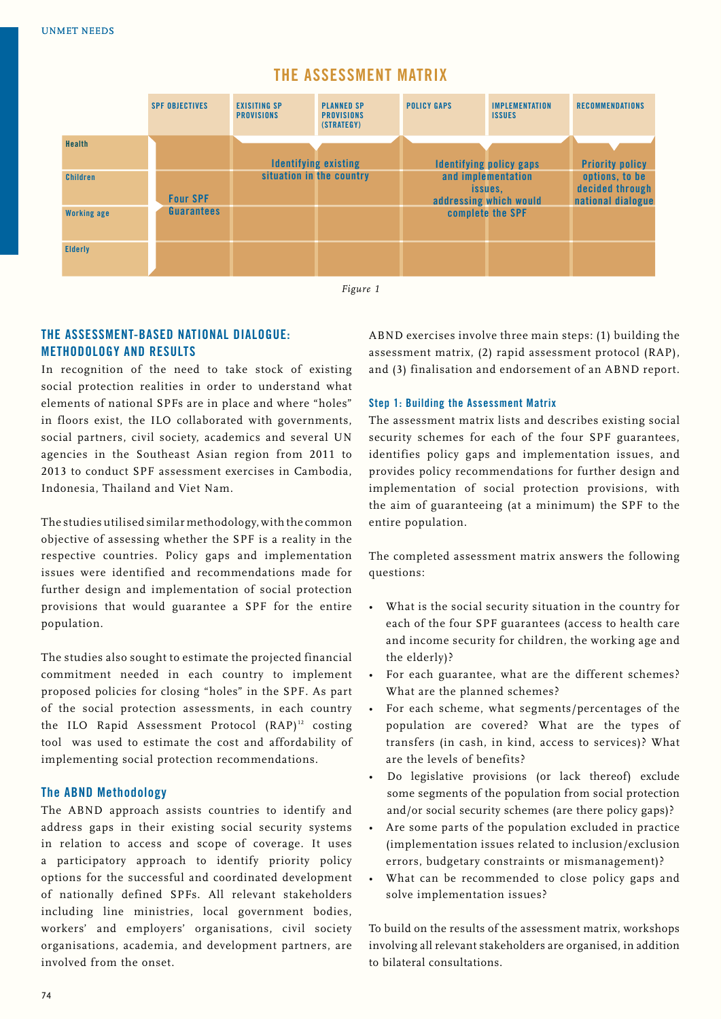#### **SPF objectives exisiting Sp provisions planned sp provisions (strategy) policy gaps implementation issues recommendations Health Children Working age Elderly Four SPF Guarantees Identifying existing situation in the country Identifying policy gaps and implementation issues, addressing which would complete the SPF Priority policy options, to be decided through national dialogue**

### **The Assessment Matrix**

*Figure 1*

#### **The Assessment-Based National Dialogue: Methodology and Results**

In recognition of the need to take stock of existing social protection realities in order to understand what elements of national SPFs are in place and where "holes" in floors exist, the ILO collaborated with governments, social partners, civil society, academics and several UN agencies in the Southeast Asian region from 2011 to 2013 to conduct SPF assessment exercises in Cambodia, Indonesia, Thailand and Viet Nam.

The studies utilised similar methodology, with the common objective of assessing whether the SPF is a reality in the respective countries. Policy gaps and implementation issues were identified and recommendations made for further design and implementation of social protection provisions that would guarantee a SPF for the entire population.

The studies also sought to estimate the projected financial commitment needed in each country to implement proposed policies for closing "holes" in the SPF. As part of the social protection assessments, in each country the ILO Rapid Assessment Protocol  $(RAP)^{12}$  costing tool was used to estimate the cost and affordability of implementing social protection recommendations.

#### **The ABND Methodology**

The ABND approach assists countries to identify and address gaps in their existing social security systems in relation to access and scope of coverage. It uses a participatory approach to identify priority policy options for the successful and coordinated development of nationally defined SPFs. All relevant stakeholders including line ministries, local government bodies, workers' and employers' organisations, civil society organisations, academia, and development partners, are involved from the onset.

ABND exercises involve three main steps: (1) building the assessment matrix, (2) rapid assessment protocol (RAP), and (3) finalisation and endorsement of an ABND report.

#### **Step 1: Building the Assessment Matrix**

The assessment matrix lists and describes existing social security schemes for each of the four SPF guarantees, identifies policy gaps and implementation issues, and provides policy recommendations for further design and implementation of social protection provisions, with the aim of guaranteeing (at a minimum) the SPF to the entire population.

The completed assessment matrix answers the following questions:

- What is the social security situation in the country for each of the four SPF guarantees (access to health care and income security for children, the working age and the elderly)?
- For each guarantee, what are the different schemes? What are the planned schemes?
- For each scheme, what segments/percentages of the population are covered? What are the types of transfers (in cash, in kind, access to services)? What are the levels of benefits?
- Do legislative provisions (or lack thereof) exclude some segments of the population from social protection and/or social security schemes (are there policy gaps)?
- Are some parts of the population excluded in practice (implementation issues related to inclusion/exclusion errors, budgetary constraints or mismanagement)?
- What can be recommended to close policy gaps and solve implementation issues?

To build on the results of the assessment matrix, workshops involving all relevant stakeholders are organised, in addition to bilateral consultations.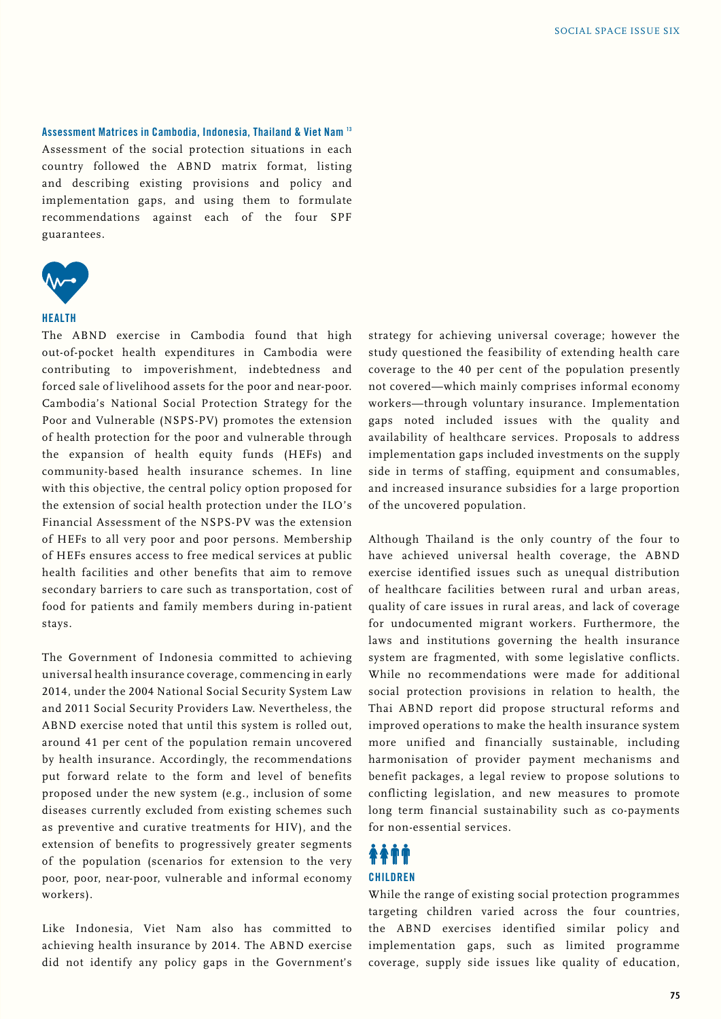**Assessment Matrices in Cambodia, Indonesia, Thailand & Viet Nam 13** Assessment of the social protection situations in each country followed the ABND matrix format, listing and describing existing provisions and policy and implementation gaps, and using them to formulate recommendations against each of the four SPF guarantees.



#### **HEALTH**

The ABND exercise in Cambodia found that high out-of-pocket health expenditures in Cambodia were contributing to impoverishment, indebtedness and forced sale of livelihood assets for the poor and near-poor. Cambodia's National Social Protection Strategy for the Poor and Vulnerable (NSPS-PV) promotes the extension of health protection for the poor and vulnerable through the expansion of health equity funds (HEFs) and community-based health insurance schemes. In line with this objective, the central policy option proposed for the extension of social health protection under the ILO's Financial Assessment of the NSPS-PV was the extension of HEFs to all very poor and poor persons. Membership of HEFs ensures access to free medical services at public health facilities and other benefits that aim to remove secondary barriers to care such as transportation, cost of food for patients and family members during in-patient stays.

The Government of Indonesia committed to achieving universal health insurance coverage, commencing in early 2014, under the 2004 National Social Security System Law and 2011 Social Security Providers Law. Nevertheless, the ABND exercise noted that until this system is rolled out, around 41 per cent of the population remain uncovered by health insurance. Accordingly, the recommendations put forward relate to the form and level of benefits proposed under the new system (e.g., inclusion of some diseases currently excluded from existing schemes such as preventive and curative treatments for HIV), and the extension of benefits to progressively greater segments of the population (scenarios for extension to the very poor, poor, near-poor, vulnerable and informal economy workers).

Like Indonesia, Viet Nam also has committed to achieving health insurance by 2014. The ABND exercise did not identify any policy gaps in the Government's strategy for achieving universal coverage; however the study questioned the feasibility of extending health care coverage to the 40 per cent of the population presently not covered—which mainly comprises informal economy workers—through voluntary insurance. Implementation gaps noted included issues with the quality and availability of healthcare services. Proposals to address implementation gaps included investments on the supply side in terms of staffing, equipment and consumables, and increased insurance subsidies for a large proportion of the uncovered population.

Although Thailand is the only country of the four to have achieved universal health coverage, the ABND exercise identified issues such as unequal distribution of healthcare facilities between rural and urban areas, quality of care issues in rural areas, and lack of coverage for undocumented migrant workers. Furthermore, the laws and institutions governing the health insurance system are fragmented, with some legislative conflicts. While no recommendations were made for additional social protection provisions in relation to health, the Thai ABND report did propose structural reforms and improved operations to make the health insurance system more unified and financially sustainable, including harmonisation of provider payment mechanisms and benefit packages, a legal review to propose solutions to conflicting legislation, and new measures to promote long term financial sustainability such as co-payments for non-essential services.

## *<b>AATT* **CHILDREN**

While the range of existing social protection programmes targeting children varied across the four countries, the ABND exercises identified similar policy and implementation gaps, such as limited programme coverage, supply side issues like quality of education,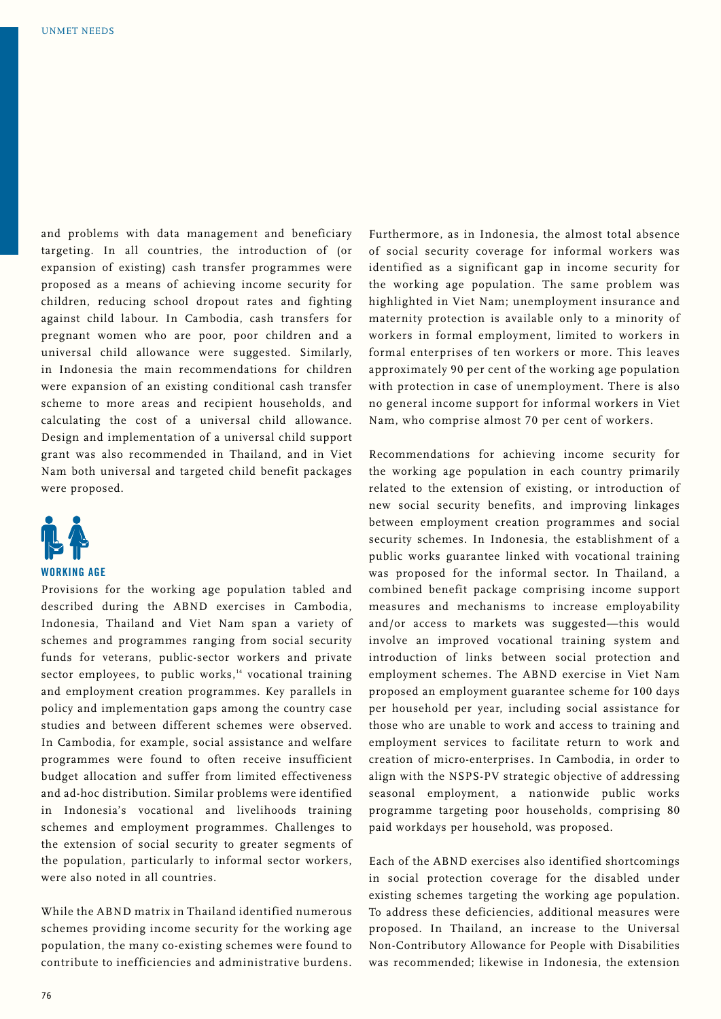and problems with data management and beneficiary targeting. In all countries, the introduction of (or expansion of existing) cash transfer programmes were proposed as a means of achieving income security for children, reducing school dropout rates and fighting against child labour. In Cambodia, cash transfers for pregnant women who are poor, poor children and a universal child allowance were suggested. Similarly, in Indonesia the main recommendations for children were expansion of an existing conditional cash transfer scheme to more areas and recipient households, and calculating the cost of a universal child allowance. Design and implementation of a universal child support grant was also recommended in Thailand, and in Viet Nam both universal and targeted child benefit packages were proposed.



#### **WORKING AGE**

Provisions for the working age population tabled and described during the ABND exercises in Cambodia, Indonesia, Thailand and Viet Nam span a variety of schemes and programmes ranging from social security funds for veterans, public-sector workers and private sector employees, to public works,<sup>14</sup> vocational training and employment creation programmes. Key parallels in policy and implementation gaps among the country case studies and between different schemes were observed. In Cambodia, for example, social assistance and welfare programmes were found to often receive insufficient budget allocation and suffer from limited effectiveness and ad-hoc distribution. Similar problems were identified in Indonesia's vocational and livelihoods training schemes and employment programmes. Challenges to the extension of social security to greater segments of the population, particularly to informal sector workers, were also noted in all countries.

While the ABND matrix in Thailand identified numerous schemes providing income security for the working age population, the many co-existing schemes were found to contribute to inefficiencies and administrative burdens.

Furthermore, as in Indonesia, the almost total absence of social security coverage for informal workers was identified as a significant gap in income security for the working age population. The same problem was highlighted in Viet Nam; unemployment insurance and maternity protection is available only to a minority of workers in formal employment, limited to workers in formal enterprises of ten workers or more. This leaves approximately 90 per cent of the working age population with protection in case of unemployment. There is also no general income support for informal workers in Viet Nam, who comprise almost 70 per cent of workers.

Recommendations for achieving income security for the working age population in each country primarily related to the extension of existing, or introduction of new social security benefits, and improving linkages between employment creation programmes and social security schemes. In Indonesia, the establishment of a public works guarantee linked with vocational training was proposed for the informal sector. In Thailand, a combined benefit package comprising income support measures and mechanisms to increase employability and/or access to markets was suggested—this would involve an improved vocational training system and introduction of links between social protection and employment schemes. The ABND exercise in Viet Nam proposed an employment guarantee scheme for 100 days per household per year, including social assistance for those who are unable to work and access to training and employment services to facilitate return to work and creation of micro-enterprises. In Cambodia, in order to align with the NSPS-PV strategic objective of addressing seasonal employment, a nationwide public works programme targeting poor households, comprising 80 paid workdays per household, was proposed.

Each of the ABND exercises also identified shortcomings in social protection coverage for the disabled under existing schemes targeting the working age population. To address these deficiencies, additional measures were proposed. In Thailand, an increase to the Universal Non-Contributory Allowance for People with Disabilities was recommended; likewise in Indonesia, the extension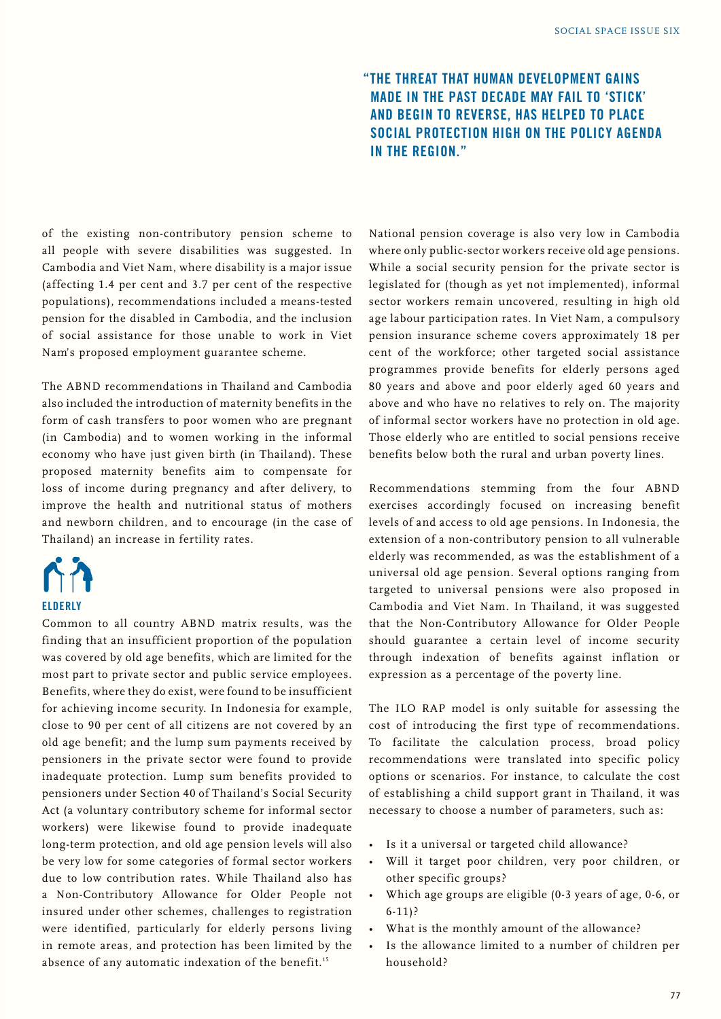## **"The threat that human development gains made in the past decade may fail to 'stick' and begin to reverse, has helped to place social protection high on the policy agenda in the region."**

of the existing non-contributory pension scheme to all people with severe disabilities was suggested. In Cambodia and Viet Nam, where disability is a major issue (affecting 1.4 per cent and 3.7 per cent of the respective populations), recommendations included a means-tested pension for the disabled in Cambodia, and the inclusion of social assistance for those unable to work in Viet Nam's proposed employment guarantee scheme.

The ABND recommendations in Thailand and Cambodia also included the introduction of maternity benefits in the form of cash transfers to poor women who are pregnant (in Cambodia) and to women working in the informal economy who have just given birth (in Thailand). These proposed maternity benefits aim to compensate for loss of income during pregnancy and after delivery, to improve the health and nutritional status of mothers and newborn children, and to encourage (in the case of Thailand) an increase in fertility rates.

# **ELDERLY**

Common to all country ABND matrix results, was the finding that an insufficient proportion of the population was covered by old age benefits, which are limited for the most part to private sector and public service employees. Benefits, where they do exist, were found to be insufficient for achieving income security. In Indonesia for example, close to 90 per cent of all citizens are not covered by an old age benefit; and the lump sum payments received by pensioners in the private sector were found to provide inadequate protection. Lump sum benefits provided to pensioners under Section 40 of Thailand's Social Security Act (a voluntary contributory scheme for informal sector workers) were likewise found to provide inadequate long-term protection, and old age pension levels will also be very low for some categories of formal sector workers due to low contribution rates. While Thailand also has a Non-Contributory Allowance for Older People not insured under other schemes, challenges to registration were identified, particularly for elderly persons living in remote areas, and protection has been limited by the absence of any automatic indexation of the benefit.<sup>15</sup>

National pension coverage is also very low in Cambodia where only public-sector workers receive old age pensions. While a social security pension for the private sector is legislated for (though as yet not implemented), informal sector workers remain uncovered, resulting in high old age labour participation rates. In Viet Nam, a compulsory pension insurance scheme covers approximately 18 per cent of the workforce; other targeted social assistance programmes provide benefits for elderly persons aged 80 years and above and poor elderly aged 60 years and above and who have no relatives to rely on. The majority of informal sector workers have no protection in old age. Those elderly who are entitled to social pensions receive benefits below both the rural and urban poverty lines.

Recommendations stemming from the four ABND exercises accordingly focused on increasing benefit levels of and access to old age pensions. In Indonesia, the extension of a non-contributory pension to all vulnerable elderly was recommended, as was the establishment of a universal old age pension. Several options ranging from targeted to universal pensions were also proposed in Cambodia and Viet Nam. In Thailand, it was suggested that the Non-Contributory Allowance for Older People should guarantee a certain level of income security through indexation of benefits against inflation or expression as a percentage of the poverty line.

The ILO RAP model is only suitable for assessing the cost of introducing the first type of recommendations. To facilitate the calculation process, broad policy recommendations were translated into specific policy options or scenarios. For instance, to calculate the cost of establishing a child support grant in Thailand, it was necessary to choose a number of parameters, such as:

- Is it a universal or targeted child allowance?
- Will it target poor children, very poor children, or other specific groups?
- Which age groups are eligible (0-3 years of age, 0-6, or 6-11)?
- What is the monthly amount of the allowance?
- Is the allowance limited to a number of children per household?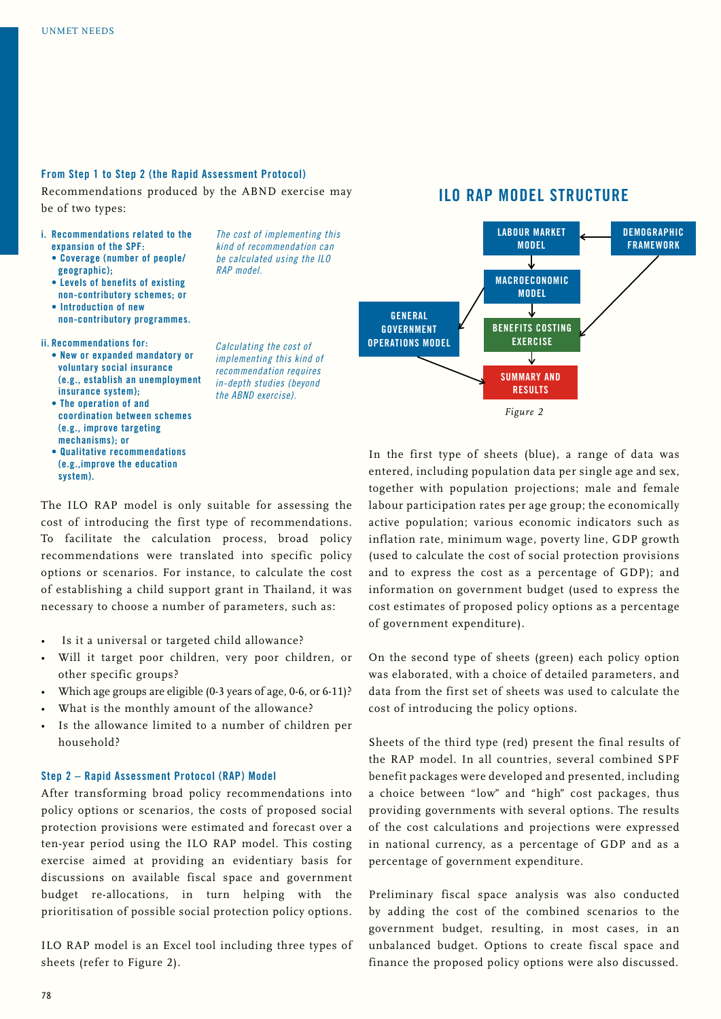#### **From Step 1 to Step 2 (the Rapid Assessment Protocol)**

Recommendations produced by the ABND exercise may be of two types:

- **i. Recommendations related to the expansion of the SPF:**
	- **Coverage (number of people/ geographic);**
	- **Levels of benefits of existing non-contributory schemes; or**
	- **Introduction of new non-contributory programmes.**

**ii. Recommendations for:**

- **New or expanded mandatory or voluntary social insurance (e.g., establish an unemployment insurance system);**
- **The operation of and coordination between schemes (e.g., improve targeting mechanisms); or**
- **Qualitative recommendations (e.g.,improve the education system).**

*be calculated using the ILO RAP model.*

*The cost of implementing this kind of recommendation can* 

*Calculating the cost of implementing this kind of recommendation requires in-depth studies (beyond the ABND exercise).*

## **ILO Rap model structure**



In the first type of sheets (blue), a range of data was entered, including population data per single age and sex, together with population projections; male and female labour participation rates per age group; the economically active population; various economic indicators such as inflation rate, minimum wage, poverty line, GDP growth (used to calculate the cost of social protection provisions and to express the cost as a percentage of GDP); and information on government budget (used to express the cost estimates of proposed policy options as a percentage of government expenditure).

On the second type of sheets (green) each policy option was elaborated, with a choice of detailed parameters, and data from the first set of sheets was used to calculate the cost of introducing the policy options.

Sheets of the third type (red) present the final results of the RAP model. In all countries, several combined SPF benefit packages were developed and presented, including a choice between "low" and "high" cost packages, thus providing governments with several options. The results of the cost calculations and projections were expressed in national currency, as a percentage of GDP and as a percentage of government expenditure.

Preliminary fiscal space analysis was also conducted by adding the cost of the combined scenarios to the government budget, resulting, in most cases, in an unbalanced budget. Options to create fiscal space and finance the proposed policy options were also discussed.

The ILO RAP model is only suitable for assessing the cost of introducing the first type of recommendations. To facilitate the calculation process, broad policy recommendations were translated into specific policy options or scenarios. For instance, to calculate the cost of establishing a child support grant in Thailand, it was necessary to choose a number of parameters, such as:

- Is it a universal or targeted child allowance?
- Will it target poor children, very poor children, or other specific groups?
- Which age groups are eligible (0-3 years of age, 0-6, or 6-11)?
- What is the monthly amount of the allowance?
- Is the allowance limited to a number of children per household?

#### **Step 2 – Rapid Assessment Protocol (RAP) Model**

After transforming broad policy recommendations into policy options or scenarios, the costs of proposed social protection provisions were estimated and forecast over a ten-year period using the ILO RAP model. This costing exercise aimed at providing an evidentiary basis for discussions on available fiscal space and government budget re-allocations, in turn helping with the prioritisation of possible social protection policy options.

ILO RAP model is an Excel tool including three types of sheets (refer to Figure 2).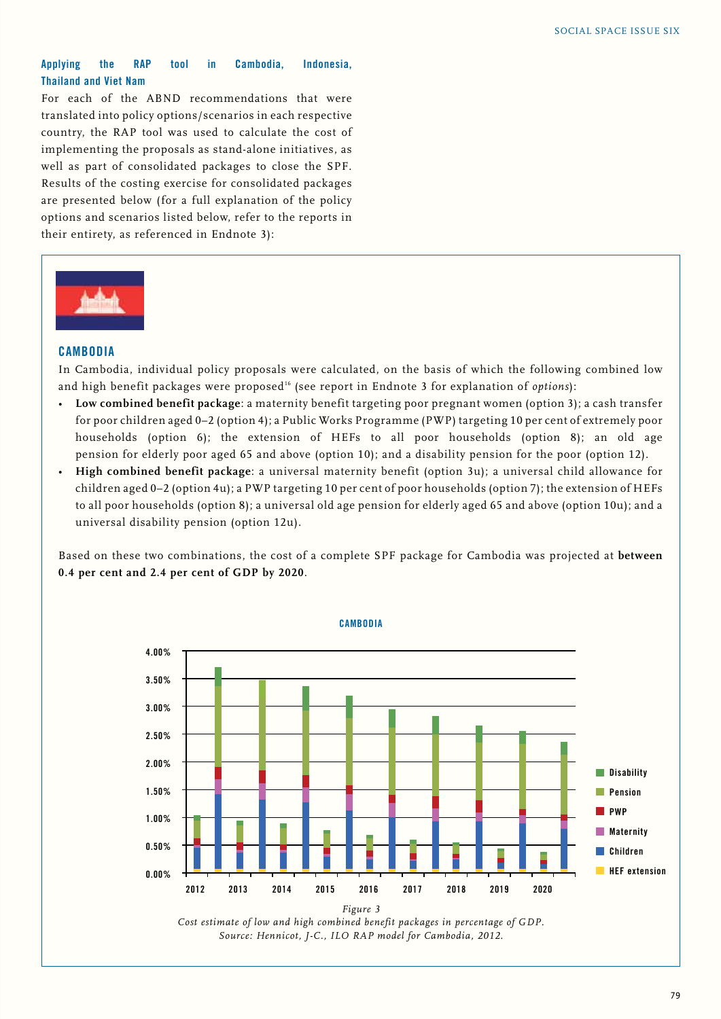#### **Applying the RAP tool in Cambodia, Indonesia, Thailand and Viet Nam**

For each of the ABND recommendations that were translated into policy options/scenarios in each respective country, the RAP tool was used to calculate the cost of implementing the proposals as stand-alone initiatives, as well as part of consolidated packages to close the SPF. Results of the costing exercise for consolidated packages are presented below (for a full explanation of the policy options and scenarios listed below, refer to the reports in their entirety, as referenced in Endnote 3):



#### **CAMBODIA**

In Cambodia, individual policy proposals were calculated, on the basis of which the following combined low and high benefit packages were proposed<sup>16</sup> (see report in Endnote 3 for explanation of *options*):

- **Low combined benefit package**: a maternity benefit targeting poor pregnant women (option 3); a cash transfer for poor children aged 0–2 (option 4); a Public Works Programme (PWP) targeting 10 per cent of extremely poor households (option 6); the extension of HEFs to all poor households (option 8); an old age pension for elderly poor aged 65 and above (option 10); and a disability pension for the poor (option 12).
- **High combined benefit package**: a universal maternity benefit (option 3u); a universal child allowance for children aged 0–2 (option 4u); a PWP targeting 10 per cent of poor households (option 7); the extension of HEFs to all poor households (option 8); a universal old age pension for elderly aged 65 and above (option 10u); and a universal disability pension (option 12u).

Based on these two combinations, the cost of a complete SPF package for Cambodia was projected at **between 0.4 per cent and 2.4 per cent of GDP by 2020**.



*Cost estimate of low and high combined benefit packages in percentage of GDP. Source: Hennicot, J-C., ILO RAP model for Cambodia, 2012.*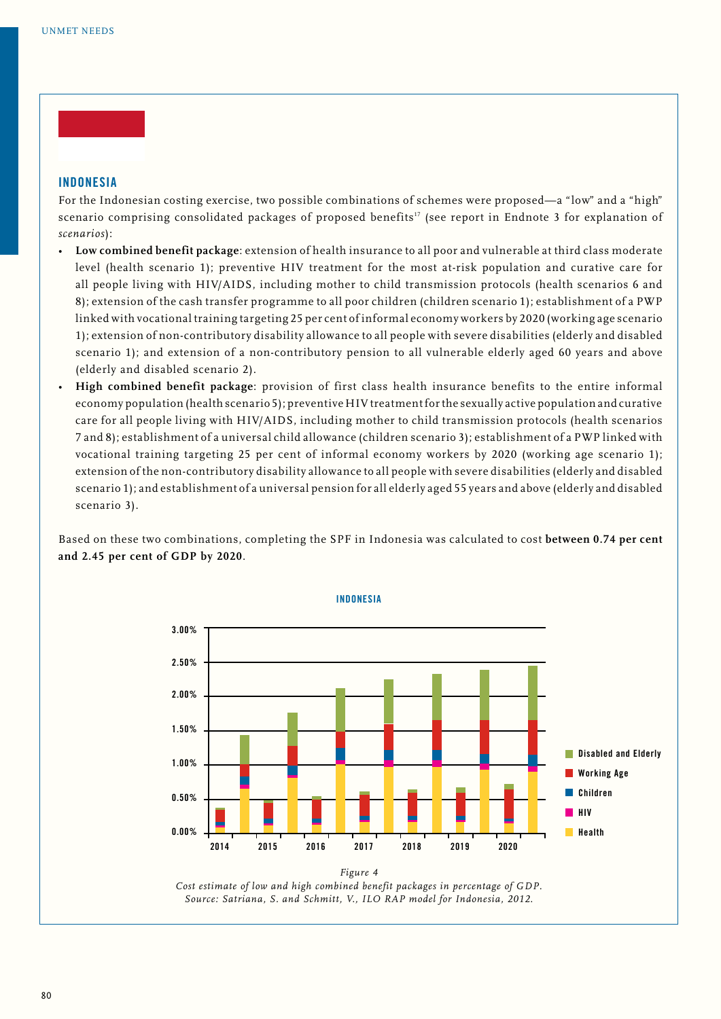#### **INDONESIA**

For the Indonesian costing exercise, two possible combinations of schemes were proposed—a "low" and a "high" scenario comprising consolidated packages of proposed benefits<sup>17</sup> (see report in Endnote 3 for explanation of *scenarios*):

- **Low combined benefit package**: extension of health insurance to all poor and vulnerable at third class moderate level (health scenario 1); preventive HIV treatment for the most at-risk population and curative care for all people living with HIV/AIDS, including mother to child transmission protocols (health scenarios 6 and 8); extension of the cash transfer programme to all poor children (children scenario 1); establishment of a PWP linked with vocational training targeting 25 per cent of informal economy workers by 2020 (working age scenario 1); extension of non-contributory disability allowance to all people with severe disabilities (elderly and disabled scenario 1); and extension of a non-contributory pension to all vulnerable elderly aged 60 years and above (elderly and disabled scenario 2).
- **High combined benefit package**: provision of first class health insurance benefits to the entire informal economy population (health scenario 5); preventive HIV treatment for the sexually active population and curative care for all people living with HIV/AIDS, including mother to child transmission protocols (health scenarios 7 and 8); establishment of a universal child allowance (children scenario 3); establishment of a PWP linked with vocational training targeting 25 per cent of informal economy workers by 2020 (working age scenario 1); extension of the non-contributory disability allowance to all people with severe disabilities (elderly and disabled scenario 1); and establishment of a universal pension for all elderly aged 55 years and above (elderly and disabled scenario 3).

Based on these two combinations, completing the SPF in Indonesia was calculated to cost **between 0.74 per cent and 2.45 per cent of GDP by 2020**.



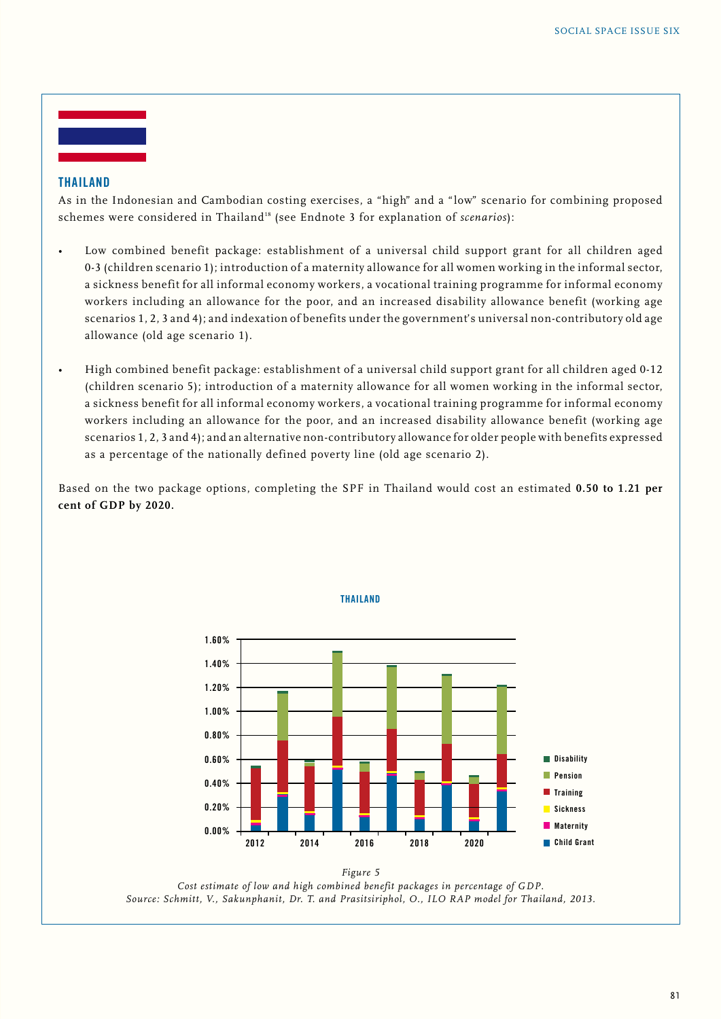#### **THAILAND**

As in the Indonesian and Cambodian costing exercises, a "high" and a "low" scenario for combining proposed schemes were considered in Thailand<sup>18</sup> (see Endnote 3 for explanation of *scenarios*):

- Low combined benefit package: establishment of a universal child support grant for all children aged 0-3 (children scenario 1); introduction of a maternity allowance for all women working in the informal sector, a sickness benefit for all informal economy workers, a vocational training programme for informal economy workers including an allowance for the poor, and an increased disability allowance benefit (working age scenarios 1, 2, 3 and 4); and indexation of benefits under the government's universal non-contributory old age allowance (old age scenario 1).
- High combined benefit package: establishment of a universal child support grant for all children aged 0-12 (children scenario 5); introduction of a maternity allowance for all women working in the informal sector, a sickness benefit for all informal economy workers, a vocational training programme for informal economy workers including an allowance for the poor, and an increased disability allowance benefit (working age scenarios 1, 2, 3 and 4); and an alternative non-contributory allowance for older people with benefits expressed as a percentage of the nationally defined poverty line (old age scenario 2).

Based on the two package options, completing the SPF in Thailand would cost an estimated **0.50 to 1.21 per cent of GDP by 2020.**



*Figure 5 Cost estimate of low and high combined benefit packages in percentage of GDP. Source: Schmitt, V., Sakunphanit, Dr. T. and Prasitsiriphol, O., ILO RAP model for Thailand, 2013.*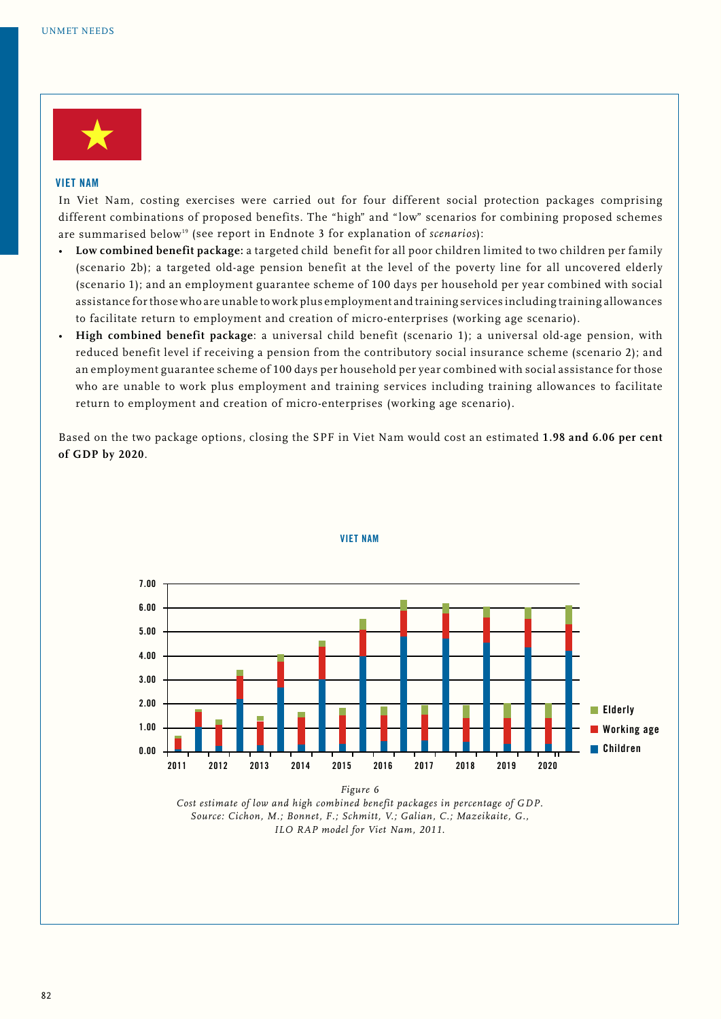

#### **VIET NAM**

In Viet Nam, costing exercises were carried out for four different social protection packages comprising different combinations of proposed benefits. The "high" and "low" scenarios for combining proposed schemes are summarised below<sup>19</sup> (see report in Endnote 3 for explanation of *scenarios*):

- **Low combined benefit package:** a targeted child benefit for all poor children limited to two children per family (scenario 2b); a targeted old-age pension benefit at the level of the poverty line for all uncovered elderly (scenario 1); and an employment guarantee scheme of 100 days per household per year combined with social assistance for those who are unable to work plus employment and training services including training allowances to facilitate return to employment and creation of micro-enterprises (working age scenario).
- **High combined benefit package**: a universal child benefit (scenario 1); a universal old-age pension, with reduced benefit level if receiving a pension from the contributory social insurance scheme (scenario 2); and an employment guarantee scheme of 100 days per household per year combined with social assistance for those who are unable to work plus employment and training services including training allowances to facilitate return to employment and creation of micro-enterprises (working age scenario).

Based on the two package options, closing the SPF in Viet Nam would cost an estimated **1.98 and 6.06 per cent of GDP by 2020**.



#### **viet nam**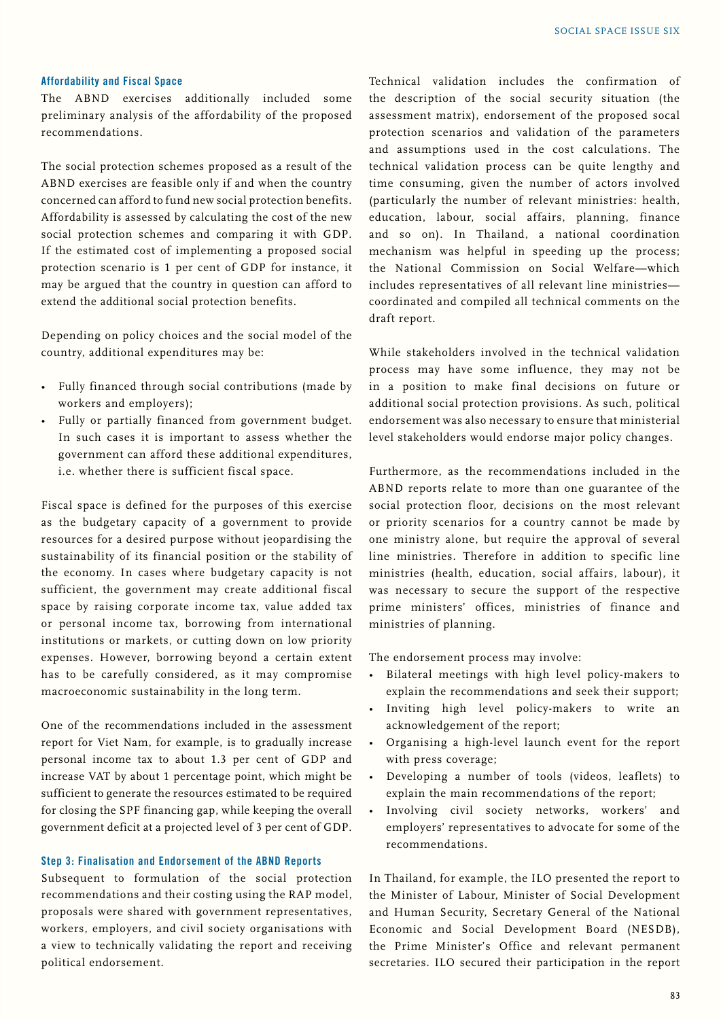#### **Affordability and Fiscal Space**

The ABND exercises additionally included some preliminary analysis of the affordability of the proposed recommendations.

The social protection schemes proposed as a result of the ABND exercises are feasible only if and when the country concerned can afford to fund new social protection benefits. Affordability is assessed by calculating the cost of the new social protection schemes and comparing it with GDP. If the estimated cost of implementing a proposed social protection scenario is 1 per cent of GDP for instance, it may be argued that the country in question can afford to extend the additional social protection benefits.

Depending on policy choices and the social model of the country, additional expenditures may be:

- Fully financed through social contributions (made by workers and employers);
- Fully or partially financed from government budget. In such cases it is important to assess whether the government can afford these additional expenditures, i.e. whether there is sufficient fiscal space.

Fiscal space is defined for the purposes of this exercise as the budgetary capacity of a government to provide resources for a desired purpose without jeopardising the sustainability of its financial position or the stability of the economy. In cases where budgetary capacity is not sufficient, the government may create additional fiscal space by raising corporate income tax, value added tax or personal income tax, borrowing from international institutions or markets, or cutting down on low priority expenses. However, borrowing beyond a certain extent has to be carefully considered, as it may compromise macroeconomic sustainability in the long term.

One of the recommendations included in the assessment report for Viet Nam, for example, is to gradually increase personal income tax to about 1.3 per cent of GDP and increase VAT by about 1 percentage point, which might be sufficient to generate the resources estimated to be required for closing the SPF financing gap, while keeping the overall government deficit at a projected level of 3 per cent of GDP.

#### **Step 3: Finalisation and Endorsement of the ABND Reports**

Subsequent to formulation of the social protection recommendations and their costing using the RAP model, proposals were shared with government representatives, workers, employers, and civil society organisations with a view to technically validating the report and receiving political endorsement.

Technical validation includes the confirmation of the description of the social security situation (the assessment matrix), endorsement of the proposed socal protection scenarios and validation of the parameters and assumptions used in the cost calculations. The technical validation process can be quite lengthy and time consuming, given the number of actors involved (particularly the number of relevant ministries: health, education, labour, social affairs, planning, finance and so on). In Thailand, a national coordination mechanism was helpful in speeding up the process; the National Commission on Social Welfare—which includes representatives of all relevant line ministries coordinated and compiled all technical comments on the draft report.

While stakeholders involved in the technical validation process may have some influence, they may not be in a position to make final decisions on future or additional social protection provisions. As such, political endorsement was also necessary to ensure that ministerial level stakeholders would endorse major policy changes.

Furthermore, as the recommendations included in the ABND reports relate to more than one guarantee of the social protection floor, decisions on the most relevant or priority scenarios for a country cannot be made by one ministry alone, but require the approval of several line ministries. Therefore in addition to specific line ministries (health, education, social affairs, labour), it was necessary to secure the support of the respective prime ministers' offices, ministries of finance and ministries of planning.

The endorsement process may involve:

- Bilateral meetings with high level policy-makers to explain the recommendations and seek their support;
- Inviting high level policy-makers to write an acknowledgement of the report;
- Organising a high-level launch event for the report with press coverage;
- Developing a number of tools (videos, leaflets) to explain the main recommendations of the report;
- Involving civil society networks, workers' and employers' representatives to advocate for some of the recommendations.

In Thailand, for example, the ILO presented the report to the Minister of Labour, Minister of Social Development and Human Security, Secretary General of the National Economic and Social Development Board (NESDB), the Prime Minister's Office and relevant permanent secretaries. ILO secured their participation in the report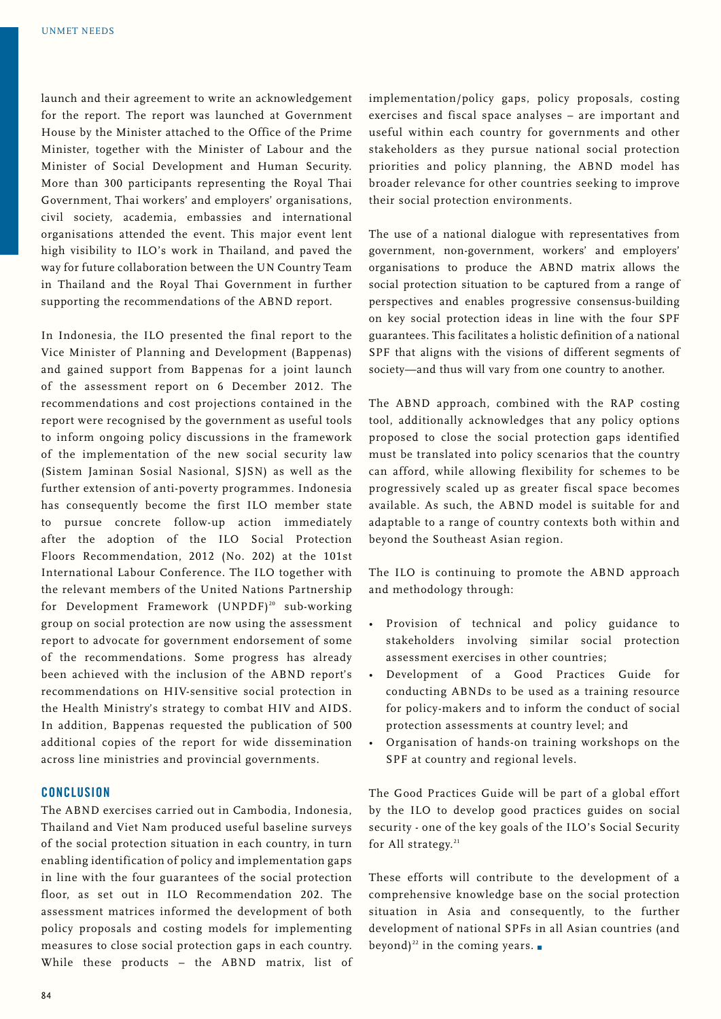launch and their agreement to write an acknowledgement for the report. The report was launched at Government House by the Minister attached to the Office of the Prime Minister, together with the Minister of Labour and the Minister of Social Development and Human Security. More than 300 participants representing the Royal Thai Government, Thai workers' and employers' organisations, civil society, academia, embassies and international organisations attended the event. This major event lent high visibility to ILO's work in Thailand, and paved the way for future collaboration between the UN Country Team in Thailand and the Royal Thai Government in further supporting the recommendations of the ABND report.

In Indonesia, the ILO presented the final report to the Vice Minister of Planning and Development (Bappenas) and gained support from Bappenas for a joint launch of the assessment report on 6 December 2012. The recommendations and cost projections contained in the report were recognised by the government as useful tools to inform ongoing policy discussions in the framework of the implementation of the new social security law (Sistem Jaminan Sosial Nasional, SJSN) as well as the further extension of anti-poverty programmes. Indonesia has consequently become the first ILO member state to pursue concrete follow-up action immediately after the adoption of the ILO Social Protection Floors Recommendation, 2012 (No. 202) at the 101st International Labour Conference. The ILO together with the relevant members of the United Nations Partnership for Development Framework (UNPDF)<sup>20</sup> sub-working group on social protection are now using the assessment report to advocate for government endorsement of some of the recommendations. Some progress has already been achieved with the inclusion of the ABND report's recommendations on HIV-sensitive social protection in the Health Ministry's strategy to combat HIV and AIDS. In addition, Bappenas requested the publication of 500 additional copies of the report for wide dissemination across line ministries and provincial governments.

#### **Conclusion**

The ABND exercises carried out in Cambodia, Indonesia, Thailand and Viet Nam produced useful baseline surveys of the social protection situation in each country, in turn enabling identification of policy and implementation gaps in line with the four guarantees of the social protection floor, as set out in ILO Recommendation 202. The assessment matrices informed the development of both policy proposals and costing models for implementing measures to close social protection gaps in each country. While these products – the ABND matrix, list of implementation/policy gaps, policy proposals, costing exercises and fiscal space analyses – are important and useful within each country for governments and other stakeholders as they pursue national social protection priorities and policy planning, the ABND model has broader relevance for other countries seeking to improve their social protection environments.

The use of a national dialogue with representatives from government, non-government, workers' and employers' organisations to produce the ABND matrix allows the social protection situation to be captured from a range of perspectives and enables progressive consensus-building on key social protection ideas in line with the four SPF guarantees. This facilitates a holistic definition of a national SPF that aligns with the visions of different segments of society—and thus will vary from one country to another.

The ABND approach, combined with the RAP costing tool, additionally acknowledges that any policy options proposed to close the social protection gaps identified must be translated into policy scenarios that the country can afford, while allowing flexibility for schemes to be progressively scaled up as greater fiscal space becomes available. As such, the ABND model is suitable for and adaptable to a range of country contexts both within and beyond the Southeast Asian region.

The ILO is continuing to promote the ABND approach and methodology through:

- Provision of technical and policy guidance to stakeholders involving similar social protection assessment exercises in other countries;
- Development of a Good Practices Guide for conducting ABNDs to be used as a training resource for policy-makers and to inform the conduct of social protection assessments at country level; and
- Organisation of hands-on training workshops on the SPF at country and regional levels.

The Good Practices Guide will be part of a global effort by the ILO to develop good practices guides on social security - one of the key goals of the ILO's Social Security for All strategy.<sup>21</sup>

These efforts will contribute to the development of a comprehensive knowledge base on the social protection situation in Asia and consequently, to the further development of national SPFs in all Asian countries (and beyond)<sup>22</sup> in the coming years.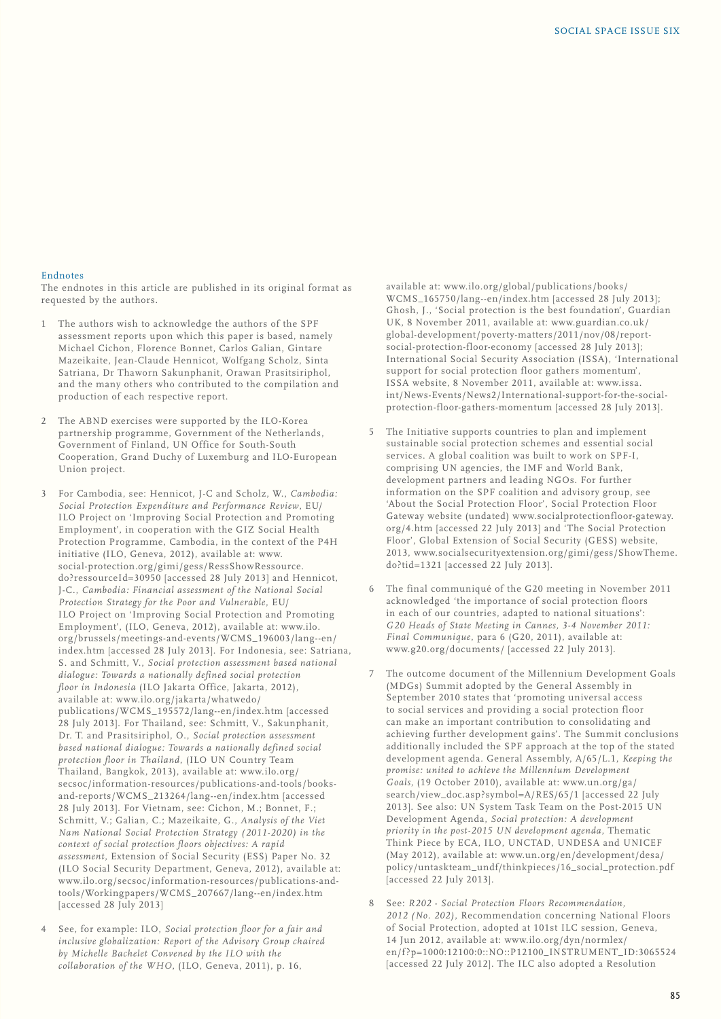#### Endnotes

The endnotes in this article are published in its original format as requested by the authors.

- The authors wish to acknowledge the authors of the SPF assessment reports upon which this paper is based, namely Michael Cichon, Florence Bonnet, Carlos Galian, Gintare Mazeikaite, Jean-Claude Hennicot, Wolfgang Scholz, Sinta Satriana, Dr Thaworn Sakunphanit, Orawan Prasitsiriphol, and the many others who contributed to the compilation and production of each respective report.
- 2 The ABND exercises were supported by the ILO-Korea partnership programme, Government of the Netherlands, Government of Finland, UN Office for South-South Cooperation, Grand Duchy of Luxemburg and ILO-European Union project.
- 3 For Cambodia, see: Hennicot, J-C and Scholz, W., *Cambodia: Social Protection Expenditure and Performance Review*, EU/ ILO Project on 'Improving Social Protection and Promoting Employment', in cooperation with the GIZ Social Health Protection Programme, Cambodia, in the context of the P4H initiative (ILO, Geneva, 2012), available at: www. social-protection.org/gimi/gess/RessShowRessource. do?ressourceId=30950 [accessed 28 July 2013] and Hennicot, J-C., *Cambodia: Financial assessment of the National Social Protection Strategy for the Poor and Vulnerable*, EU/ ILO Project on 'Improving Social Protection and Promoting Employment', (ILO, Geneva, 2012), available at: www.ilo. org/brussels/meetings-and-events/WCMS\_196003/lang--en/ index.htm [accessed 28 July 2013]. For Indonesia, see: Satriana, S. and Schmitt, V., *Social protection assessment based national dialogue: Towards a nationally defined social protection floor in Indonesia* (ILO Jakarta Office, Jakarta, 2012), available at: www.ilo.org/jakarta/whatwedo/ publications/WCMS\_195572/lang--en/index.htm [accessed 28 July 2013]. For Thailand, see: Schmitt, V., Sakunphanit, Dr. T. and Prasitsiriphol, O., *Social protection assessment based national dialogue: Towards a nationally defined social protection floor in Thailand*, (ILO UN Country Team Thailand, Bangkok, 2013), available at: www.ilo.org/ secsoc/information-resources/publications-and-tools/booksand-reports/WCMS\_213264/lang--en/index.htm [accessed 28 July 2013]. For Vietnam, see: Cichon, M.; Bonnet, F.; Schmitt, V.; Galian, C.; Mazeikaite, G., *Analysis of the Viet Nam National Social Protection Strategy (2011-2020) in the context of social protection floors objectives: A rapid assessment*, Extension of Social Security (ESS) Paper No. 32 (ILO Social Security Department, Geneva, 2012), available at: www.ilo.org/secsoc/information-resources/publications-andtools/Workingpapers/WCMS\_207667/lang--en/index.htm [accessed 28 July 2013]
- 4 See, for example: ILO, *Social protection floor for a fair and inclusive globalization: Report of the Advisory Group chaired by Michelle Bachelet Convened by the ILO with the collaboration of the WHO*, (ILO, Geneva, 2011), p. 16,

available at: www.ilo.org/global/publications/books/ WCMS\_165750/lang--en/index.htm [accessed 28 July 2013]; Ghosh, J., 'Social protection is the best foundation', Guardian UK, 8 November 2011, available at: www.guardian.co.uk/ global-development/poverty-matters/2011/nov/08/reportsocial-protection-floor-economy [accessed 28 July 2013]; International Social Security Association (ISSA), 'International support for social protection floor gathers momentum', ISSA website, 8 November 2011, available at: www.issa. int/News-Events/News2/International-support-for-the-socialprotection-floor-gathers-momentum [accessed 28 July 2013].

- The Initiative supports countries to plan and implement sustainable social protection schemes and essential social services. A global coalition was built to work on SPF-I, comprising UN agencies, the IMF and World Bank, development partners and leading NGOs. For further information on the SPF coalition and advisory group, see 'About the Social Protection Floor', Social Protection Floor Gateway website (undated) www.socialprotectionfloor-gateway. org/4.htm [accessed 22 July 2013] and 'The Social Protection Floor', Global Extension of Social Security (GESS) website, 2013, www.socialsecurityextension.org/gimi/gess/ShowTheme. do?tid=1321 [accessed 22 July 2013].
- 6 The final communiqué of the G20 meeting in November 2011 acknowledged 'the importance of social protection floors in each of our countries, adapted to national situations': *G20 Heads of State Meeting in Cannes, 3-4 November 2011: Final Communique*, para 6 (G20, 2011), available at: www.g20.org/documents/ [accessed 22 July 2013].
- 7 The outcome document of the Millennium Development Goals (MDGs) Summit adopted by the General Assembly in September 2010 states that 'promoting universal access to social services and providing a social protection floor can make an important contribution to consolidating and achieving further development gains'. The Summit conclusions additionally included the SPF approach at the top of the stated development agenda. General Assembly, A/65/L.1, *Keeping the promise: united to achieve the Millennium Development Goals*, (19 October 2010), available at: www.un.org/ga/ search/view\_doc.asp?symbol=A/RES/65/1 [accessed 22 July 2013]. See also: UN System Task Team on the Post-2015 UN Development Agenda, *Social protection: A development priority in the post-2015 UN development agenda*, Thematic Think Piece by ECA, ILO, UNCTAD, UNDESA and UNICEF (May 2012), available at: www.un.org/en/development/desa/ policy/untaskteam\_undf/thinkpieces/16\_social\_protection.pdf [accessed 22 July 2013].
- 8 See: *R202 Social Protection Floors Recommendation, 2012 (No. 202)*, Recommendation concerning National Floors of Social Protection, adopted at 101st ILC session, Geneva, 14 Jun 2012, available at: www.ilo.org/dyn/normlex/ en/f?p=1000:12100:0::NO::P12100\_INSTRUMENT\_ID:3065524 [accessed 22 July 2012]. The ILC also adopted a Resolution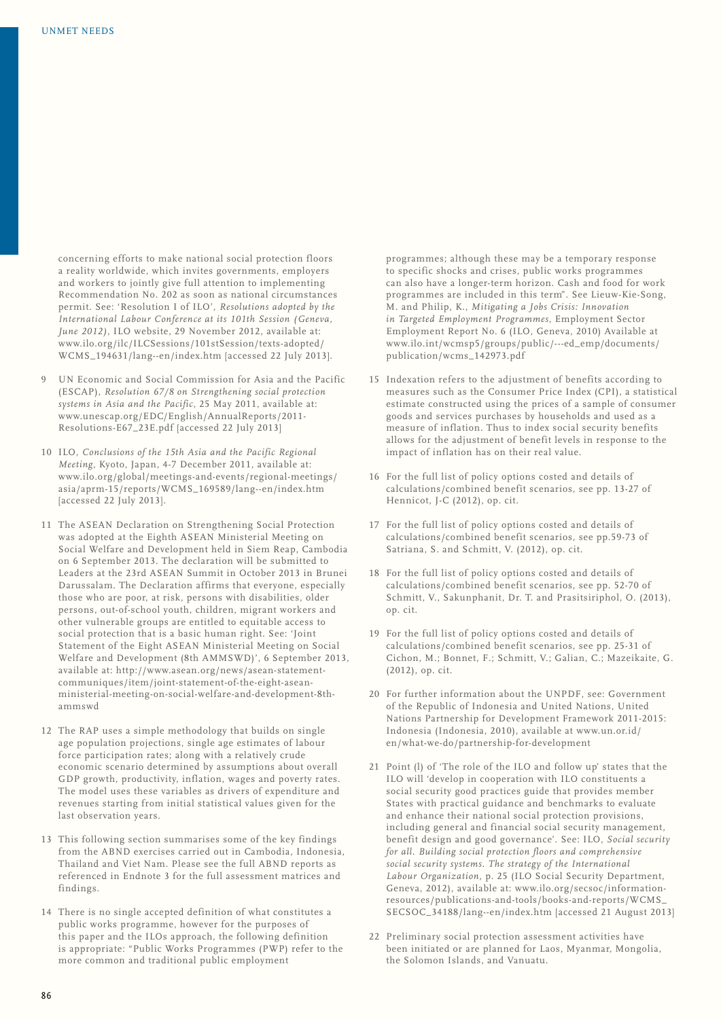concerning efforts to make national social protection floors a reality worldwide, which invites governments, employers and workers to jointly give full attention to implementing Recommendation No. 202 as soon as national circumstances permit. See: 'Resolution I of ILO', *Resolutions adopted by the International Labour Conference at its 101th Session (Geneva, June 2012)*, ILO website, 29 November 2012, available at: www.ilo.org/ilc/ILCSessions/101stSession/texts-adopted/ WCMS\_194631/lang--en/index.htm [accessed 22 July 2013].

- 9 UN Economic and Social Commission for Asia and the Pacific (ESCAP), *Resolution 67/8 on Strengthening social protection systems in Asia and the Pacific*, 25 May 2011, available at: www.unescap.org/EDC/English/AnnualReports/2011- Resolutions-E67\_23E.pdf [accessed 22 July 2013]
- 10 ILO, *Conclusions of the 15th Asia and the Pacific Regional Meeting*, Kyoto, Japan, 4-7 December 2011, available at: www.ilo.org/global/meetings-and-events/regional-meetings/ asia/aprm-15/reports/WCMS\_169589/lang--en/index.htm  $[accessed 22]$   $[ulv 2013]$ .
- 11 The ASEAN Declaration on Strengthening Social Protection was adopted at the Eighth ASEAN Ministerial Meeting on Social Welfare and Development held in Siem Reap, Cambodia on 6 September 2013. The declaration will be submitted to Leaders at the 23rd ASEAN Summit in October 2013 in Brunei Darussalam. The Declaration affirms that everyone, especially those who are poor, at risk, persons with disabilities, older persons, out-of-school youth, children, migrant workers and other vulnerable groups are entitled to equitable access to social protection that is a basic human right. See: 'Joint Statement of the Eight ASEAN Ministerial Meeting on Social Welfare and Development (8th AMMSWD)', 6 September 2013, available at: http://www.asean.org/news/asean-statementcommuniques/item/joint-statement-of-the-eight-aseanministerial-meeting-on-social-welfare-and-development-8thammswd
- 12 The RAP uses a simple methodology that builds on single age population projections, single age estimates of labour force participation rates; along with a relatively crude economic scenario determined by assumptions about overall GDP growth, productivity, inflation, wages and poverty rates. The model uses these variables as drivers of expenditure and revenues starting from initial statistical values given for the last observation years.
- 13 This following section summarises some of the key findings from the ABND exercises carried out in Cambodia, Indonesia, Thailand and Viet Nam. Please see the full ABND reports as referenced in Endnote 3 for the full assessment matrices and findings.
- 14 There is no single accepted definition of what constitutes a public works programme, however for the purposes of this paper and the ILOs approach, the following definition is appropriate: "Public Works Programmes (PWP) refer to the more common and traditional public employment

programmes; although these may be a temporary response to specific shocks and crises, public works programmes can also have a longer-term horizon. Cash and food for work programmes are included in this term". See Lieuw-Kie-Song, M. and Philip, K., *Mitigating a Jobs Crisis: Innovation in Targeted Employment Programmes*, Employment Sector Employment Report No. 6 (ILO, Geneva, 2010) Available at www.ilo.int/wcmsp5/groups/public/---ed\_emp/documents/ publication/wcms\_142973.pdf

- 15 Indexation refers to the adjustment of benefits according to measures such as the Consumer Price Index (CPI), a statistical estimate constructed using the prices of a sample of consumer goods and services purchases by households and used as a measure of inflation. Thus to index social security benefits allows for the adjustment of benefit levels in response to the impact of inflation has on their real value.
- 16 For the full list of policy options costed and details of calculations/combined benefit scenarios, see pp. 13-27 of Hennicot, J-C (2012), op. cit.
- 17 For the full list of policy options costed and details of calculations/combined benefit scenarios, see pp.59-73 of Satriana, S. and Schmitt, V. (2012), op. cit.
- 18 For the full list of policy options costed and details of calculations/combined benefit scenarios, see pp. 52-70 of Schmitt, V., Sakunphanit, Dr. T. and Prasitsiriphol, O. (2013), op. cit.
- 19 For the full list of policy options costed and details of calculations/combined benefit scenarios, see pp. 25-31 of Cichon, M.; Bonnet, F.; Schmitt, V.; Galian, C.; Mazeikaite, G. (2012), op. cit.
- 20 For further information about the UNPDF, see: Government of the Republic of Indonesia and United Nations, United Nations Partnership for Development Framework 2011-2015: Indonesia (Indonesia, 2010), available at www.un.or.id/ en/what-we-do/partnership-for-development
- 21 Point (l) of 'The role of the ILO and follow up' states that the ILO will 'develop in cooperation with ILO constituents a social security good practices guide that provides member States with practical guidance and benchmarks to evaluate and enhance their national social protection provisions, including general and financial social security management, benefit design and good governance'. See: ILO, *Social security for all. Building social protection floors and comprehensive social security systems. The strategy of the International Labour Organization*, p. 25 (ILO Social Security Department, Geneva, 2012), available at: www.ilo.org/secsoc/informationresources/publications-and-tools/books-and-reports/WCMS\_ SECSOC\_34188/lang--en/index.htm [accessed 21 August 2013]
- 22 Preliminary social protection assessment activities have been initiated or are planned for Laos, Myanmar, Mongolia, the Solomon Islands, and Vanuatu.